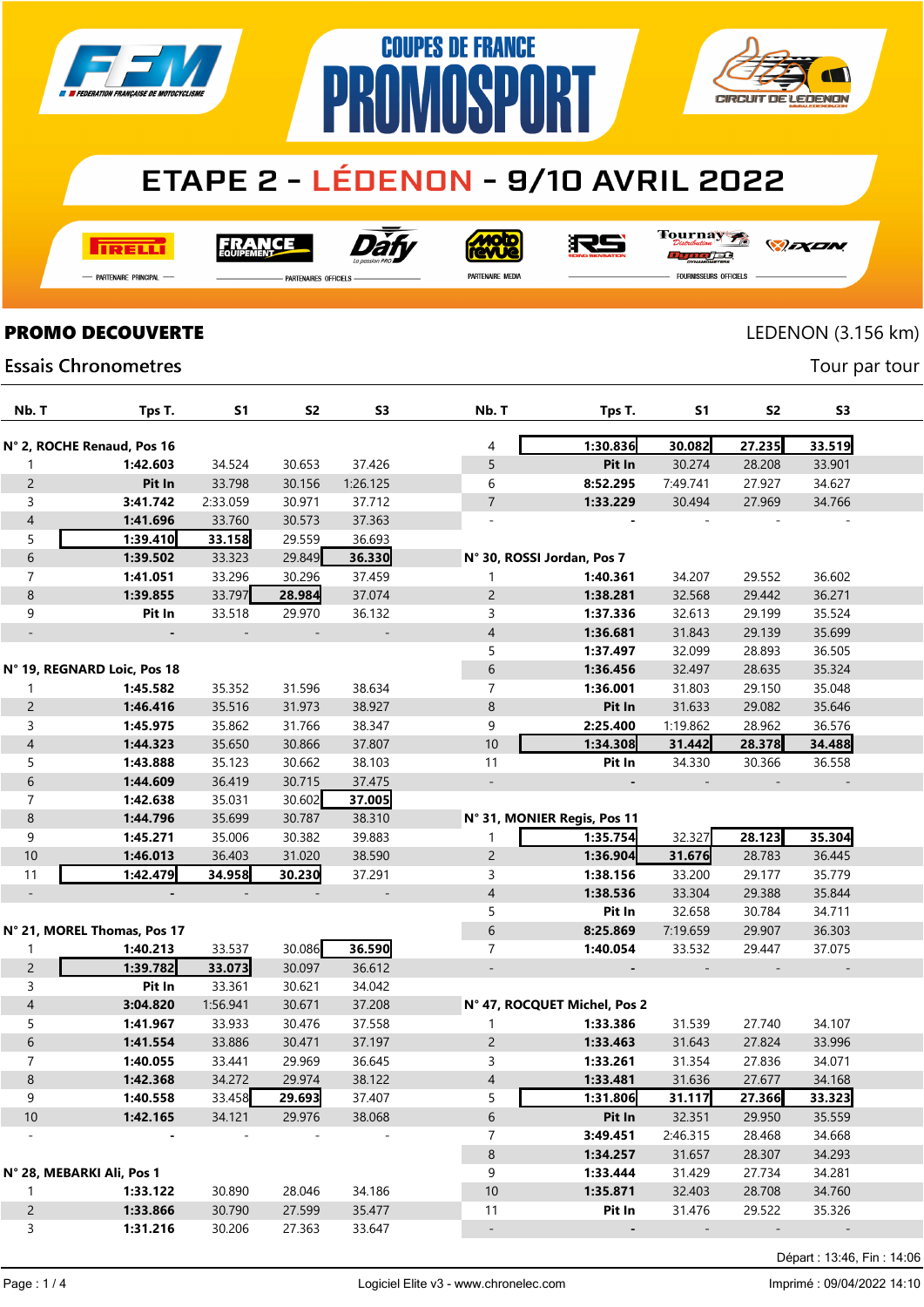



## **ETAPE 2 - LÉDENON - 9/10 AVRIL 2022**

**TRELL** 

Dài **FRANCE** 



Tournay

*DEXEN* 

- Partenaire Principal

**PARTENAIRES OFFICIELS** 

PR

PARTENAIRE MEDIA

orse **FOURNISSEURS OFFICIELS** 

## **PROMO DECOUVERTE** LEDENON (3.156 km)

Tour par tour

**Essais Chronometres** 

| Nb. T                    | Tps T.                      | <b>S1</b> | <b>S2</b> | S <sub>3</sub>           | Nb. T                        | Tps T.   | <b>S1</b>                | S <sub>2</sub>           | S <sub>3</sub>           |  |
|--------------------------|-----------------------------|-----------|-----------|--------------------------|------------------------------|----------|--------------------------|--------------------------|--------------------------|--|
|                          | N° 2, ROCHE Renaud, Pos 16  |           |           |                          | 4                            | 1:30.836 | 30.082                   | 27.235                   | 33.519                   |  |
| 1                        | 1:42.603                    | 34.524    | 30.653    | 37.426                   | 5                            | Pit In   | 30.274                   | 28.208                   | 33.901                   |  |
| $\overline{c}$           | Pit In                      | 33.798    | 30.156    | 1:26.125                 | 6                            | 8:52.295 | 7:49.741                 | 27.927                   | 34.627                   |  |
| 3                        | 3:41.742                    | 2:33.059  | 30.971    | 37.712                   | $\overline{7}$               | 1:33.229 | 30.494                   | 27.969                   | 34.766                   |  |
| $\overline{4}$           | 1:41.696                    | 33.760    | 30.573    | 37.363                   |                              |          |                          |                          |                          |  |
| 5                        | 1:39.410                    | 33.158    | 29.559    | 36.693                   |                              |          |                          |                          |                          |  |
| 6                        | 1:39.502                    | 33.323    | 29.849    | 36.330                   | N° 30, ROSSI Jordan, Pos 7   |          |                          |                          |                          |  |
| $\overline{7}$           | 1:41.051                    | 33.296    | 30.296    | 37.459                   | 1                            | 1:40.361 | 34.207                   | 29.552                   | 36.602                   |  |
|                          |                             | 33.797    |           |                          |                              | 1:38.281 |                          |                          |                          |  |
| $\,8\,$                  | 1:39.855                    |           | 28.984    | 37.074                   | $\overline{c}$               |          | 32.568                   | 29.442                   | 36.271                   |  |
| 9                        | Pit In                      | 33.518    | 29.970    | 36.132                   | 3                            | 1:37.336 | 32.613                   | 29.199                   | 35.524                   |  |
| $\overline{\phantom{a}}$ |                             |           |           | $\overline{\phantom{a}}$ | $\overline{4}$               | 1:36.681 | 31.843                   | 29.139                   | 35.699                   |  |
|                          |                             |           |           |                          | 5                            | 1:37.497 | 32.099                   | 28.893                   | 36.505                   |  |
|                          | N° 19, REGNARD Loic, Pos 18 |           |           |                          | 6                            | 1:36.456 | 32.497                   | 28.635                   | 35.324                   |  |
| 1                        | 1:45.582                    | 35.352    | 31.596    | 38.634                   | $\overline{7}$               | 1:36.001 | 31.803                   | 29.150                   | 35.048                   |  |
| $\overline{c}$           | 1:46.416                    | 35.516    | 31.973    | 38.927                   | $\bf 8$                      | Pit In   | 31.633                   | 29.082                   | 35.646                   |  |
| 3                        | 1:45.975                    | 35.862    | 31.766    | 38.347                   | 9                            | 2:25.400 | 1:19.862                 | 28.962                   | 36.576                   |  |
| $\overline{4}$           | 1:44.323                    | 35.650    | 30.866    | 37.807                   | $10$                         | 1:34.308 | 31.442                   | 28.378                   | 34.488                   |  |
| 5                        | 1:43.888                    | 35.123    | 30.662    | 38.103                   | 11                           | Pit In   | 34.330                   | 30.366                   | 36.558                   |  |
| 6                        | 1:44.609                    | 36.419    | 30.715    | 37.475                   | $\overline{\phantom{a}}$     |          |                          |                          |                          |  |
| $\overline{7}$           | 1:42.638                    | 35.031    | 30.602    | 37.005                   |                              |          |                          |                          |                          |  |
| $\,8\,$                  | 1:44.796                    | 35.699    | 30.787    | 38.310                   | N° 31, MONIER Regis, Pos 11  |          |                          |                          |                          |  |
| 9                        | 1:45.271                    | 35.006    | 30.382    | 39.883                   | 1                            | 1:35.754 | 32.327                   | 28.123                   | 35.304                   |  |
| 10                       | 1:46.013                    | 36.403    | 31.020    | 38.590                   | $\overline{c}$               | 1:36.904 | 31.676                   | 28.783                   | 36.445                   |  |
| 11                       | 1:42,479                    | 34.958    | 30.230    | 37.291                   | 3                            | 1:38.156 | 33.200                   | 29.177                   | 35.779                   |  |
| $\overline{\phantom{a}}$ |                             |           |           |                          | $\overline{4}$               | 1:38.536 | 33.304                   | 29.388                   | 35.844                   |  |
|                          |                             |           |           |                          | 5                            | Pit In   | 32.658                   | 30.784                   | 34.711                   |  |
|                          | N° 21, MOREL Thomas, Pos 17 |           |           |                          | 6                            | 8:25.869 | 7:19.659                 | 29.907                   | 36.303                   |  |
| 1                        | 1:40.213                    | 33.537    | 30.086    | 36.590                   | 7                            | 1:40.054 | 33.532                   | 29.447                   | 37.075                   |  |
| $\overline{c}$           | 1:39.782                    | 33.073    | 30.097    | 36.612                   |                              |          |                          | $\overline{\phantom{a}}$ |                          |  |
| 3                        | Pit In                      | 33.361    | 30.621    | 34.042                   |                              |          |                          |                          |                          |  |
| $\overline{4}$           | 3:04.820                    | 1:56.941  | 30.671    | 37.208                   | N° 47, ROCQUET Michel, Pos 2 |          |                          |                          |                          |  |
| 5                        | 1:41.967                    | 33.933    | 30.476    | 37.558                   | 1                            | 1:33.386 | 31.539                   | 27.740                   | 34.107                   |  |
| 6                        | 1:41.554                    | 33.886    | 30.471    | 37.197                   | $\overline{c}$               | 1:33.463 | 31.643                   | 27.824                   | 33.996                   |  |
| 7                        | 1:40.055                    | 33.441    | 29.969    | 36.645                   | 3                            | 1:33.261 | 31.354                   | 27.836                   | 34.071                   |  |
| 8                        | 1:42.368                    | 34.272    | 29.974    | 38.122                   | 4                            | 1:33.481 | 31.636                   | 27.677                   | 34.168                   |  |
| 9                        | 1:40.558                    | 33.458    | 29.693    | 37.407                   | 5                            | 1:31.806 | 31.117                   | 27.366                   | 33.323                   |  |
| $10$                     | 1:42.165                    | 34.121    | 29.976    | 38.068                   | 6                            | Pit In   | 32.351                   | 29.950                   | 35.559                   |  |
|                          |                             |           |           |                          | 7                            | 3:49.451 | 2:46.315                 | 28.468                   | 34.668                   |  |
|                          |                             |           |           |                          | $\boldsymbol{8}$             | 1:34.257 | 31.657                   | 28.307                   | 34.293                   |  |
|                          | N° 28, MEBARKI Ali, Pos 1   |           |           |                          | 9                            | 1:33.444 | 31.429                   | 27.734                   | 34.281                   |  |
| 1                        | 1:33.122                    | 30.890    | 28.046    | 34.186                   | 10                           | 1:35.871 | 32.403                   | 28.708                   | 34.760                   |  |
| $\overline{c}$           | 1:33.866                    | 30.790    | 27.599    | 35.477                   | 11                           | Pit In   | 31.476                   | 29.522                   | 35.326                   |  |
| 3                        | 1:31.216                    | 30.206    | 27.363    | 33.647                   |                              |          | $\overline{\phantom{a}}$ | $\overline{\phantom{a}}$ | $\overline{\phantom{a}}$ |  |

Départ : 13:46, Fin : 14:06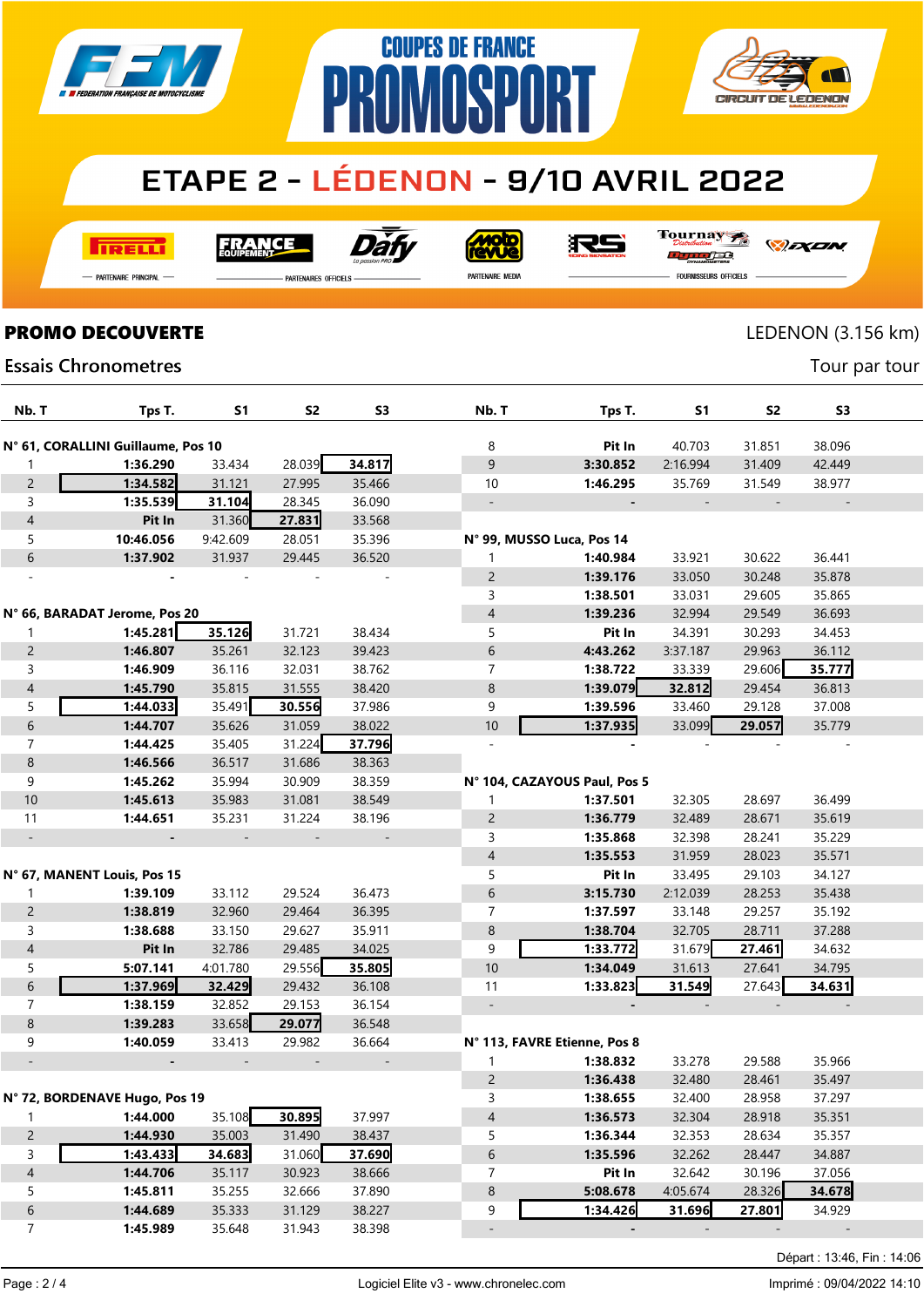





## **ETAPE 2 - LÉDENON - 9/10 AVRIL 2022**

**TRELL** 

**FRANCE** 



**Mojo** 

沢ら

Tournay

*DEXEN* 

- Partenaire Principal

**PARTENAIRES OFFICIELS** 

PARTENAIRE MEDIA

ra FOURNISSEURS OFFICIELS

### **PROMO DECOUVERTE** LEDENON (3.156 km)

Tour par tour

**Essais Chronometres** 

| Nb. T                    | Tps T.                             | S1       | S2                       | S3                       | Nb. T          | Tps T.                       | S1       | S2               | S3     |  |
|--------------------------|------------------------------------|----------|--------------------------|--------------------------|----------------|------------------------------|----------|------------------|--------|--|
|                          | N° 61, CORALLINI Guillaume, Pos 10 |          |                          |                          | 8              | Pit In                       | 40.703   | 31.851           | 38.096 |  |
| 1                        | 1:36.290                           | 33.434   | 28.039                   | 34.817                   | 9              | 3:30.852                     | 2:16.994 | 31.409           | 42.449 |  |
| $\overline{c}$           | 1:34.582                           | 31.121   | 27.995                   | 35.466                   | 10             | 1:46.295                     | 35.769   | 31.549           | 38.977 |  |
| $\mathsf{3}$             | 1:35.539                           | 31.104   | 28.345                   | 36.090                   |                |                              |          |                  |        |  |
| $\overline{4}$           | Pit In                             | 31.360   | 27.831                   | 33.568                   |                |                              |          |                  |        |  |
| 5                        | 10:46.056                          | 9:42.609 | 28.051                   | 35.396                   |                | N° 99, MUSSO Luca, Pos 14    |          |                  |        |  |
| $\,$ 6 $\,$              | 1:37.902                           | 31.937   | 29.445                   | 36.520                   |                | 1:40.984                     | 33.921   | 30.622           | 36.441 |  |
|                          |                                    |          |                          |                          | $\overline{c}$ | 1:39.176                     | 33.050   | 30.248           | 35.878 |  |
|                          |                                    |          |                          |                          | 3              | 1:38.501                     | 33.031   | 29.605           | 35.865 |  |
|                          | N° 66, BARADAT Jerome, Pos 20      |          |                          |                          | 4              | 1:39.236                     | 32.994   | 29.549           | 36.693 |  |
|                          | 1:45.281                           | 35.126   | 31.721                   | 38.434                   | 5              | Pit In                       | 34.391   | 30.293           | 34.453 |  |
| 1                        |                                    |          |                          |                          | 6              |                              |          |                  |        |  |
| $\overline{c}$           | 1:46.807                           | 35.261   | 32.123                   | 39.423                   |                | 4:43.262                     | 3:37.187 | 29.963<br>29.606 | 36.112 |  |
| $\mathsf{3}$             | 1:46.909                           | 36.116   | 32.031                   | 38.762                   | 7              | 1:38.722                     | 33.339   |                  | 35.777 |  |
| $\overline{4}$           | 1:45.790                           | 35.815   | 31.555                   | 38.420                   | 8              | 1:39.079                     | 32.812   | 29.454           | 36.813 |  |
| 5                        | 1:44.033                           | 35.491   | 30.556                   | 37.986                   | 9              | 1:39.596                     | 33.460   | 29.128           | 37.008 |  |
| $\,$ 6 $\,$              | 1:44.707                           | 35.626   | 31.059                   | 38.022                   | 10             | 1:37.935                     | 33.099   | 29.057           | 35.779 |  |
| $\overline{7}$           | 1:44.425                           | 35.405   | 31.224                   | 37.796                   | $\omega$       |                              |          |                  |        |  |
| $\bf 8$                  | 1:46.566                           | 36.517   | 31.686                   | 38.363                   |                |                              |          |                  |        |  |
| 9                        | 1:45.262                           | 35.994   | 30.909                   | 38.359                   |                | N° 104, CAZAYOUS Paul, Pos 5 |          |                  |        |  |
| 10                       | 1:45.613                           | 35.983   | 31.081                   | 38.549                   | 1              | 1:37.501                     | 32.305   | 28.697           | 36.499 |  |
| 11                       | 1:44.651                           | 35.231   | 31.224                   | 38.196                   | $\overline{c}$ | 1:36.779                     | 32.489   | 28.671           | 35.619 |  |
| $\overline{\phantom{a}}$ | $\blacksquare$                     |          | $\overline{\phantom{a}}$ | $\overline{\phantom{a}}$ | 3              | 1:35.868                     | 32.398   | 28.241           | 35.229 |  |
|                          |                                    |          |                          |                          | 4              | 1:35.553                     | 31.959   | 28.023           | 35.571 |  |
|                          | N° 67, MANENT Louis, Pos 15        |          |                          |                          | 5              | Pit In                       | 33.495   | 29.103           | 34.127 |  |
| 1                        | 1:39.109                           | 33.112   | 29.524                   | 36.473                   | 6              | 3:15.730                     | 2:12.039 | 28.253           | 35.438 |  |
| $\overline{c}$           | 1:38.819                           | 32.960   | 29.464                   | 36.395                   | 7              | 1:37.597                     | 33.148   | 29.257           | 35.192 |  |
| $\mathsf{3}$             | 1:38.688                           | 33.150   | 29.627                   | 35.911                   | $\,8\,$        | 1:38.704                     | 32.705   | 28.711           | 37.288 |  |
| $\overline{4}$           | Pit In                             | 32.786   | 29.485                   | 34.025                   | 9              | 1:33.772                     | 31.679   | 27.461           | 34.632 |  |
| 5                        | 5:07.141                           | 4:01.780 | 29.556                   | 35.805                   | 10             | 1:34.049                     | 31.613   | 27.641           | 34.795 |  |
| $\,$ 6 $\,$              | 1:37.969                           | 32.429   | 29.432                   | 36.108                   | 11             | 1:33.823                     | 31.549   | 27.643           | 34.631 |  |
| $\overline{7}$           | 1:38.159                           | 32.852   | 29.153                   | 36.154                   |                |                              |          |                  |        |  |
| $\bf 8$                  | 1:39.283                           | 33.658   | 29.077                   | 36.548                   |                |                              |          |                  |        |  |
| 9                        | 1:40.059                           | 33.413   | 29.982                   | 36.664                   |                | N° 113, FAVRE Etienne, Pos 8 |          |                  |        |  |
|                          |                                    |          |                          |                          |                | 1:38.832                     | 33.278   | 29.588           | 35.966 |  |
|                          |                                    |          |                          |                          | $\overline{c}$ | 1:36.438                     | 32.480   | 28.461           | 35.497 |  |
|                          | N° 72, BORDENAVE Hugo, Pos 19      |          |                          |                          | 3              | 1:38.655                     | 32.400   | 28.958           | 37.297 |  |
| $\mathbf{1}$             | 1:44.000                           | 35.108   | 30.895                   | 37.997                   | $\overline{a}$ | 1:36.573                     | 32.304   | 28.918           | 35.351 |  |
| $\overline{c}$           | 1:44.930                           | 35.003   | 31.490                   | 38.437                   | 5              | 1:36.344                     | 32.353   | 28.634           | 35.357 |  |
| $\mathsf{3}$             | 1:43.433                           | 34.683   | 31.060                   | 37.690                   | 6              | 1:35.596                     | 32.262   | 28.447           | 34.887 |  |
| $\overline{4}$           | 1:44.706                           | 35.117   | 30.923                   | 38.666                   | 7              | Pit In                       | 32.642   | 30.196           | 37.056 |  |
| 5                        | 1:45.811                           | 35.255   | 32.666                   | 37.890                   | 8              | 5:08.678                     | 4:05.674 | 28.326           | 34.678 |  |
| $\,$ 6 $\,$              | 1:44.689                           | 35.333   | 31.129                   | 38.227                   | 9              | 1:34.426                     | 31.696   | 27.801           | 34.929 |  |
| $\overline{7}$           | 1:45.989                           | 35.648   | 31.943                   | 38.398                   |                |                              |          |                  |        |  |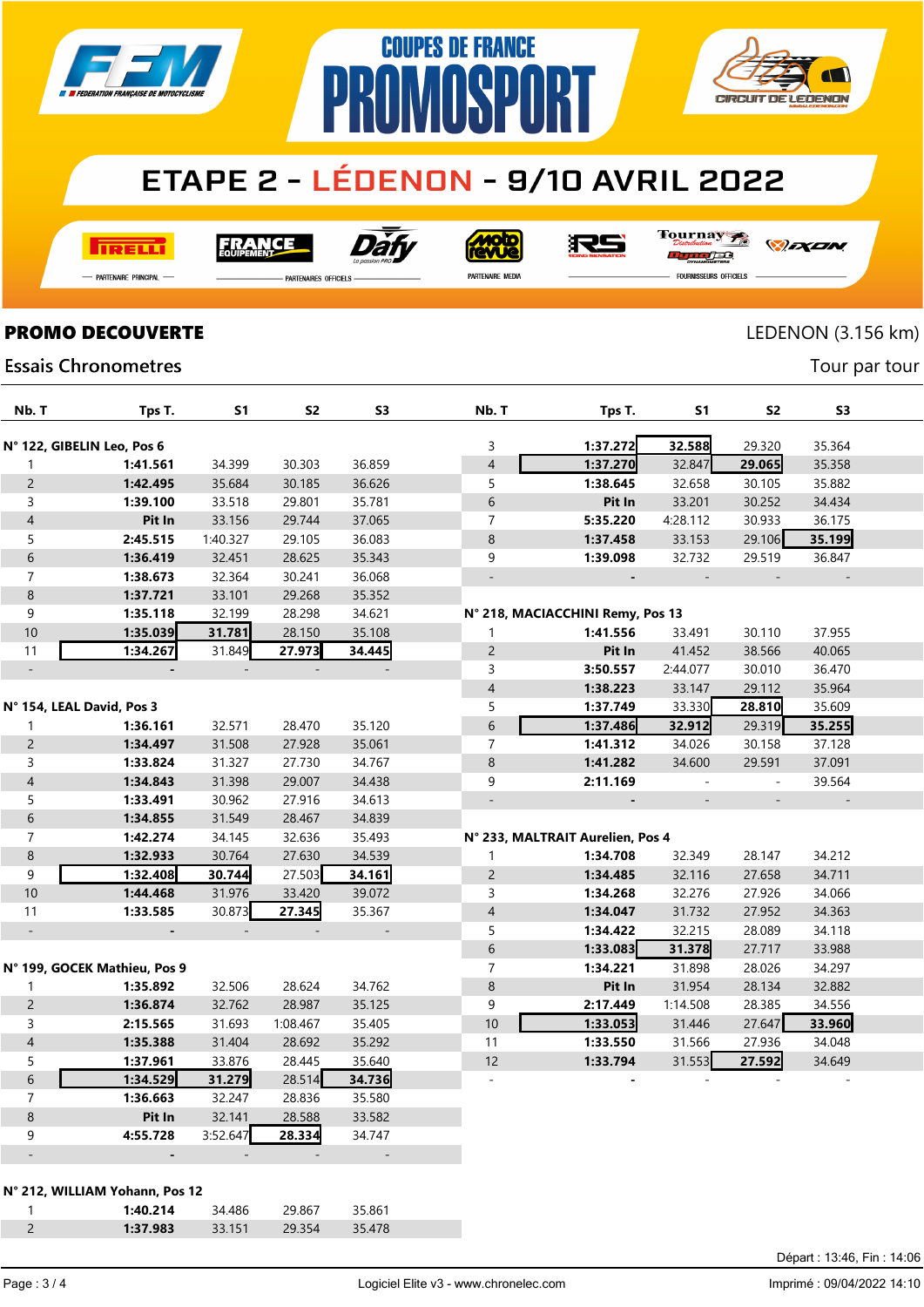

# **ETAPE 2 - LÉDENON - 9/10 AVRIL 2022**

**COUPES DE FRANCE** 

**PROMOSPORT** 

**TRELLI** 

Dài **FRANCE** 

**Moto** 

RS

Tournay orse

*DEXEN* 

Tour par tour

— Partenaire Principal

**PARTENAIRES OFFICIELS** 

PARTENAIRE MEDIA

**CIRCUIT DE LEDENON** 

**FOURNISSEURS OFFICIELS** 

#### **PROMO DECOUVERTE** LEDENON (3.156 km)

#### **Essais Chronometres**

| Nb. T                     | Tps T.                       | S <sub>1</sub>           | <b>S2</b>                | S3                       | Nb. T                    | Tps T.                           | <b>S1</b> | <b>S2</b>           | S <sub>3</sub> |  |
|---------------------------|------------------------------|--------------------------|--------------------------|--------------------------|--------------------------|----------------------------------|-----------|---------------------|----------------|--|
|                           | N° 122, GIBELIN Leo, Pos 6   |                          |                          |                          | 3                        | 1:37.272                         | 32.588    | 29.320              | 35.364         |  |
| $\mathbf{1}$              | 1:41.561                     | 34.399                   | 30.303                   | 36.859                   | $\overline{4}$           | 1:37.270                         | 32.847    | 29.065              | 35.358         |  |
| $\overline{c}$            | 1:42.495                     | 35.684                   | 30.185                   | 36.626                   | 5                        | 1:38.645                         | 32.658    | 30.105              | 35.882         |  |
| 3                         | 1:39.100                     | 33.518                   | 29.801                   | 35.781                   | 6                        | Pit In                           | 33.201    | 30.252              | 34.434         |  |
| $\overline{4}$            | Pit In                       | 33.156                   | 29.744                   | 37.065                   | $\overline{7}$           | 5:35.220                         | 4:28.112  | 30.933              | 36.175         |  |
| 5                         | 2:45.515                     | 1:40.327                 | 29.105                   | 36.083                   | 8                        | 1:37.458                         | 33.153    | 29.106              | 35.199         |  |
| $\,$ 6 $\,$               | 1:36.419                     | 32.451                   | 28.625                   | 35.343                   | 9                        | 1:39.098                         | 32.732    | 29.519              | 36.847         |  |
| $\overline{7}$            | 1:38.673                     | 32.364                   | 30.241                   | 36.068                   | $\overline{\phantom{a}}$ |                                  | $\Box$    |                     |                |  |
| $\bf 8$                   | 1:37.721                     | 33.101                   | 29.268                   | 35.352                   |                          |                                  |           |                     |                |  |
| 9                         | 1:35.118                     | 32.199                   | 28.298                   | 34.621                   |                          | N° 218, MACIACCHINI Remy, Pos 13 |           |                     |                |  |
| 10                        | 1:35.039                     | 31.781                   | 28.150                   | 35.108                   | 1                        | 1:41.556                         | 33.491    | 30.110              | 37.955         |  |
| 11                        | 1:34.267                     | 31.849                   | 27.973                   | 34.445                   | $\overline{c}$           | Pit In                           | 41.452    | 38.566              | 40.065         |  |
| $\blacksquare$            |                              | $\overline{\phantom{a}}$ | $\overline{\phantom{a}}$ | $\overline{\phantom{a}}$ | 3                        | 3:50.557                         | 2:44.077  | 30.010              | 36.470         |  |
|                           |                              |                          |                          |                          | $\overline{\mathcal{L}}$ | 1:38.223                         | 33.147    | 29.112              | 35.964         |  |
| N° 154, LEAL David, Pos 3 |                              |                          |                          |                          | 5                        | 1:37.749                         | 33.330    | 28.810              | 35.609         |  |
| $\mathbf{1}$              | 1:36.161                     | 32.571                   | 28.470                   | 35.120                   | 6                        | 1:37.486                         | 32.912    | 29.319              | 35.255         |  |
| $\overline{2}$            | 1:34.497                     | 31.508                   | 27.928                   | 35.061                   | $\overline{7}$           | 1:41.312                         | 34.026    | 30.158              | 37.128         |  |
| $\mathsf{3}$              | 1:33.824                     | 31.327                   | 27.730                   | 34.767                   | $\bf 8$                  | 1:41.282                         | 34.600    | 29.591              | 37.091         |  |
| $\overline{4}$            | 1:34.843                     | 31.398                   | 29.007                   | 34.438                   | 9                        | 2:11.169                         | $\sim$    | $\blacksquare$      | 39.564         |  |
| 5                         | 1:33.491                     | 30.962                   | 27.916                   | 34.613                   | $\Box$                   |                                  |           | $\bar{\phantom{a}}$ |                |  |
| $\boldsymbol{6}$          | 1:34.855                     | 31.549                   | 28.467                   | 34.839                   |                          |                                  |           |                     |                |  |
| $\boldsymbol{7}$          | 1:42.274                     | 34.145                   | 32.636                   | 35.493                   |                          | N° 233, MALTRAIT Aurelien, Pos 4 |           |                     |                |  |
| $\,8\,$                   | 1:32.933                     | 30.764                   | 27.630                   | 34.539                   | $\mathbf{1}$             | 1:34.708                         | 32.349    | 28.147              | 34.212         |  |
| 9                         | 1:32.408                     | 30.744                   | 27.503                   | 34.161                   | $\overline{c}$           | 1:34.485                         | 32.116    | 27.658              | 34.711         |  |
| 10                        | 1:44.468                     | 31.976                   | 33.420                   | 39.072                   | 3                        | 1:34.268                         | 32.276    | 27.926              | 34.066         |  |
| 11                        | 1:33.585                     | 30.873                   | 27.345                   | 35.367                   | $\overline{4}$           | 1:34.047                         | 31.732    | 27.952              | 34.363         |  |
| $\equiv$                  |                              |                          |                          | $\overline{\phantom{a}}$ | 5                        | 1:34.422                         | 32.215    | 28.089              | 34.118         |  |
|                           |                              |                          |                          |                          | $6\phantom{a}$           | 1:33.083                         | 31.378    | 27.717              | 33.988         |  |
|                           | N° 199, GOCEK Mathieu, Pos 9 |                          |                          |                          | $\overline{7}$           | 1:34.221                         | 31.898    | 28.026              | 34.297         |  |
| $\mathbf{1}$              | 1:35.892                     | 32.506                   | 28.624                   | 34.762                   | 8                        | Pit In                           | 31.954    | 28.134              | 32.882         |  |
| $\overline{2}$            | 1:36.874                     | 32.762                   | 28.987                   | 35.125                   | 9                        | 2:17.449                         | 1:14.508  | 28.385              | 34.556         |  |
| 3                         | 2:15.565                     | 31.693                   | 1:08.467                 | 35.405                   | 10                       | 1:33.053                         | 31.446    | 27.647              | 33.960         |  |
| $\overline{4}$            | 1:35.388                     | 31.404                   | 28.692                   | 35.292                   | 11                       | 1:33.550                         | 31.566    | 27.936              | 34.048         |  |
| 5                         | 1:37.961                     | 33.876                   | 28.445                   | 35.640                   | 12                       | 1:33.794                         | 31.553    | 27.592              | 34.649         |  |
| $\,$ 6 $\,$               | 1:34.529                     | 31.279                   | 28.514                   | 34.736                   |                          |                                  |           |                     |                |  |
| $\overline{7}$            | 1:36.663                     | 32.247                   | 28.836                   | 35.580                   |                          |                                  |           |                     |                |  |
| $\,8\,$                   | Pit In                       | 32.141                   | 28.588                   | 33.582                   |                          |                                  |           |                     |                |  |
| 9                         | 4:55.728                     | 3:52.647                 | 28.334                   | 34.747                   |                          |                                  |           |                     |                |  |
| $\overline{\phantom{a}}$  |                              |                          |                          |                          |                          |                                  |           |                     |                |  |
|                           |                              |                          |                          |                          |                          |                                  |           |                     |                |  |

N° 212, WILLIAM Yohann, Pos 12

| 1:40.214 | 34.486         | 9 867  | 35861  |  |
|----------|----------------|--------|--------|--|
| 1:37.983 | $-$ 33 151 $-$ | 29 354 | 35.478 |  |

Départ : 13:46, Fin : 14:06